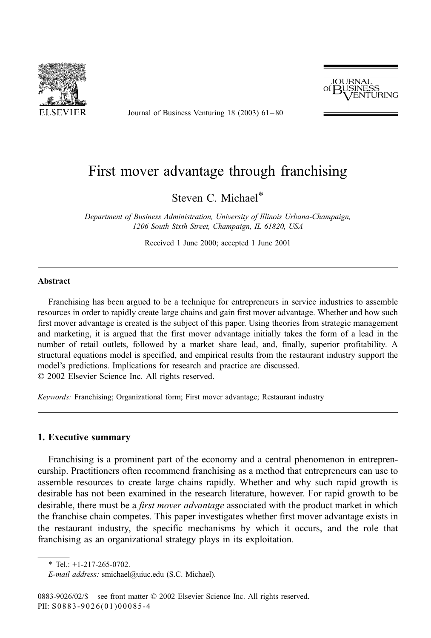

Journal of Business Venturing 18 (2003) 61 – 80



## First mover advantage through franchising

Steven C. Michael\*

Department of Business Administration, University of Illinois Urbana-Champaign, 1206 South Sixth Street, Champaign, IL 61820, USA

Received 1 June 2000; accepted 1 June 2001

## Abstract

Franchising has been argued to be a technique for entrepreneurs in service industries to assemble resources in order to rapidly create large chains and gain first mover advantage. Whether and how such first mover advantage is created is the subject of this paper. Using theories from strategic management and marketing, it is argued that the first mover advantage initially takes the form of a lead in the number of retail outlets, followed by a market share lead, and, finally, superior profitability. A structural equations model is specified, and empirical results from the restaurant industry support the model's predictions. Implications for research and practice are discussed.  $© 2002 Elsevier Science Inc. All rights reserved.$ 

Keywords: Franchising; Organizational form; First mover advantage; Restaurant industry

## 1. Executive summary

Franchising is a prominent part of the economy and a central phenomenon in entrepreneurship. Practitioners often recommend franchising as a method that entrepreneurs can use to assemble resources to create large chains rapidly. Whether and why such rapid growth is desirable has not been examined in the research literature, however. For rapid growth to be desirable, there must be a *first mover advantage* associated with the product market in which the franchise chain competes. This paper investigates whether first mover advantage exists in the restaurant industry, the specific mechanisms by which it occurs, and the role that franchising as an organizational strategy plays in its exploitation.

 $*$  Tel.: +1-217-265-0702.

E-mail address: smichael@uiuc.edu (S.C. Michael).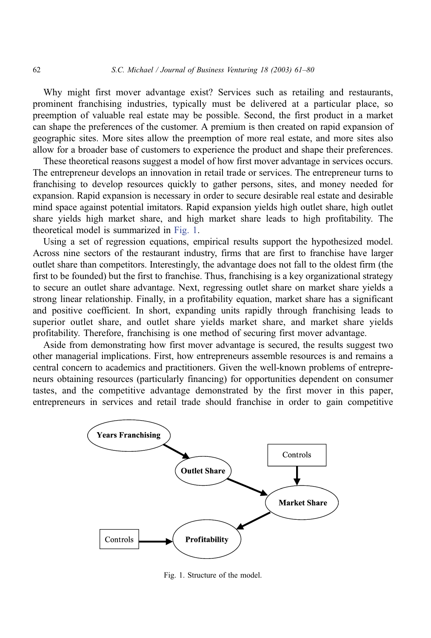Why might first mover advantage exist? Services such as retailing and restaurants, prominent franchising industries, typically must be delivered at a particular place, so preemption of valuable real estate may be possible. Second, the first product in a market can shape the preferences of the customer. A premium is then created on rapid expansion of geographic sites. More sites allow the preemption of more real estate, and more sites also allow for a broader base of customers to experience the product and shape their preferences.

These theoretical reasons suggest a model of how first mover advantage in services occurs. The entrepreneur develops an innovation in retail trade or services. The entrepreneur turns to franchising to develop resources quickly to gather persons, sites, and money needed for expansion. Rapid expansion is necessary in order to secure desirable real estate and desirable mind space against potential imitators. Rapid expansion yields high outlet share, high outlet share yields high market share, and high market share leads to high profitability. The theoretical model is summarized in Fig. 1.

Using a set of regression equations, empirical results support the hypothesized model. Across nine sectors of the restaurant industry, firms that are first to franchise have larger outlet share than competitors. Interestingly, the advantage does not fall to the oldest firm (the first to be founded) but the first to franchise. Thus, franchising is a key organizational strategy to secure an outlet share advantage. Next, regressing outlet share on market share yields a strong linear relationship. Finally, in a profitability equation, market share has a significant and positive coefficient. In short, expanding units rapidly through franchising leads to superior outlet share, and outlet share yields market share, and market share yields profitability. Therefore, franchising is one method of securing first mover advantage.

Aside from demonstrating how first mover advantage is secured, the results suggest two other managerial implications. First, how entrepreneurs assemble resources is and remains a central concern to academics and practitioners. Given the well-known problems of entrepreneurs obtaining resources (particularly financing) for opportunities dependent on consumer tastes, and the competitive advantage demonstrated by the first mover in this paper, entrepreneurs in services and retail trade should franchise in order to gain competitive



Fig. 1. Structure of the model.